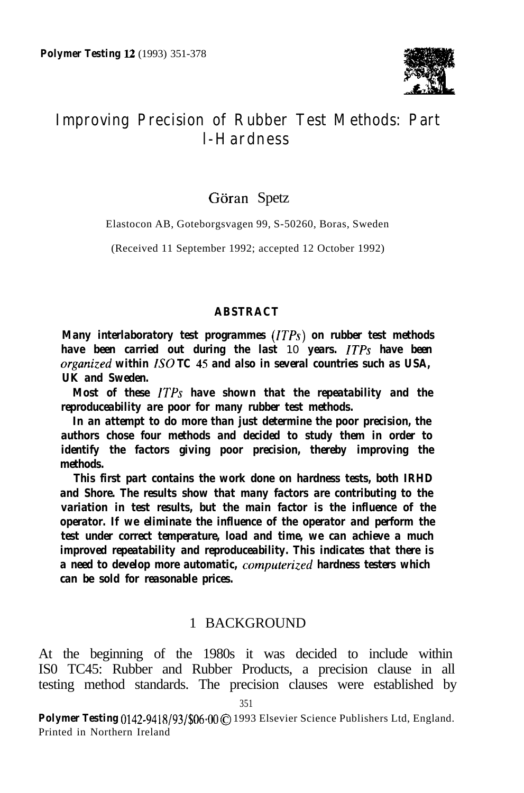

# **Improving Precision of Rubber Test Methods: Part l-Hardness**

### Göran Spetz

Elastocon AB, Goteborgsvagen 99, S-50260, Boras, Sweden

(Received 11 September 1992; accepted 12 October 1992)

#### *ABSTRACT*

*Many interlaboratory test programmes (ITPs) on rubber test methods have been carried out during the last* 10 *years. ITPs have been organized within IS0 TC 45 and also in several countries such as USA, UK and Sweden.*

*Most of these ITPs have shown that the repeatability and the reproduceability are poor for many rubber test methods.*

*In an attempt to do more than just determine the poor precision, the authors chose four methods and decided to study them in order to identify the factors giving poor precision, thereby improving the methods.*

*This first part contains the work done on hardness tests, both IRHD and Shore. The results show that many factors are contributing to the variation in test results, but the main factor is the influence of the operator. If we eliminate the influence of the operator and perform the test under correct temperature, load and time, we can achieve a much improved repeatability and reproduceability. This indicates that there is a need to develop more automatic, computerized hardness testers which can be sold for reasonable prices.*

#### 1 BACKGROUND

At the beginning of the 1980s it was decided to include within IS0 TC45: Rubber and Rubber Products, a precision clause in all testing method standards. The precision clauses were established by

Polymer Testing 0142-9418/93/\$06.00 C 1993 Elsevier Science Publishers Ltd, England. Printed in Northern Ireland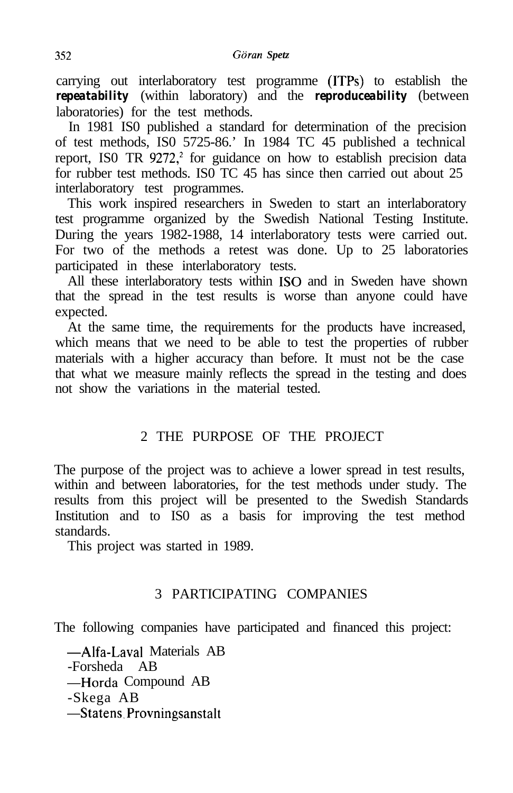carrying out interlaboratory test programme (ITPs) to establish the *repeatability* (within laboratory) and the *reproduceability* (between laboratories) for the test methods.

In 1981 IS0 published a standard for determination of the precision of test methods, IS0 5725-86.' In 1984 TC 45 published a technical report, ISO TR 9272,<sup>2</sup> for guidance on how to establish precision data for rubber test methods. IS0 TC 45 has since then carried out about 25 interlaboratory test programmes.

This work inspired researchers in Sweden to start an interlaboratory test programme organized by the Swedish National Testing Institute. During the years 1982-1988, 14 interlaboratory tests were carried out. For two of the methods a retest was done. Up to 25 laboratories participated in these interlaboratory tests.

All these interlaboratory tests within IS0 and in Sweden have shown that the spread in the test results is worse than anyone could have expected.

At the same time, the requirements for the products have increased, which means that we need to be able to test the properties of rubber materials with a higher accuracy than before. It must not be the case that what we measure mainly reflects the spread in the testing and does not show the variations in the material tested.

# 2 THE PURPOSE OF THE PROJECT

The purpose of the project was to achieve a lower spread in test results, within and between laboratories, for the test methods under study. The results from this project will be presented to the Swedish Standards Institution and to IS0 as a basis for improving the test method standards.

This project was started in 1989.

# 3 PARTICIPATING COMPANIES

The following companies have participated and financed this project:

-Alfa-Lava1 Materials AB -Forsheda AB -Horda Compound AB -Skega AB -Statens.Provningsanstalt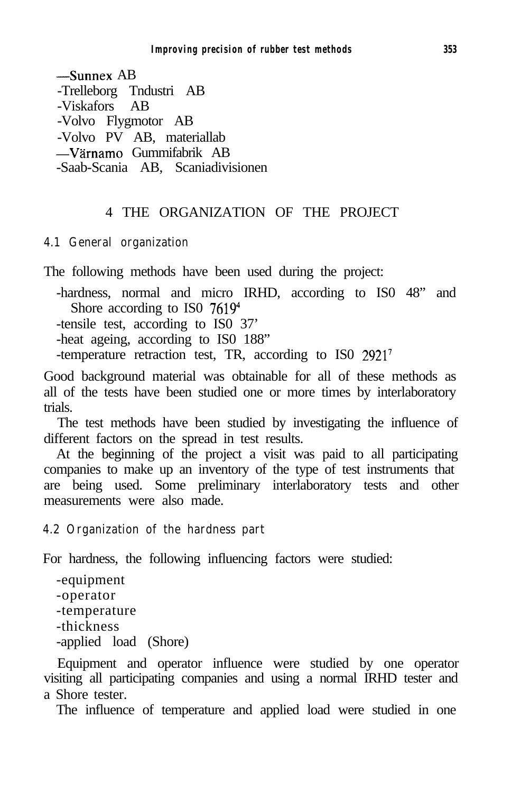-Sunnex AB -Trelleborg Tndustri AB -Viskafors AB -Volvo Flygmotor AB -Volvo PV AB, materiallab -Värnamo Gummifabrik AB -Saab-Scania AB, Scaniadivisionen

### 4 THE ORGANIZATION OF THE PROJECT

#### **4.1 General organization**

The following methods have been used during the project:

-hardness, normal and micro IRHD, according to IS0 48" and Shore according to ISO 7619<sup>4</sup>

-tensile test, according to IS0 37'

-heat ageing, according to IS0 188"

-temperature retraction test, TR, according to IS0 <sup>29217</sup>

Good background material was obtainable for all of these methods as all of the tests have been studied one or more times by interlaboratory trials.

The test methods have been studied by investigating the influence of different factors on the spread in test results.

At the beginning of the project a visit was paid to all participating companies to make up an inventory of the type of test instruments that are being used. Some preliminary interlaboratory tests and other measurements were also made.

#### **4.2 Organization of the hardness part**

For hardness, the following influencing factors were studied:

```
-equipment
-operator
-temperature
-thickness
-applied load (Shore)
```
Equipment and operator influence were studied by one operator visiting all participating companies and using a normal IRHD tester and a Shore tester.

The influence of temperature and applied load were studied in one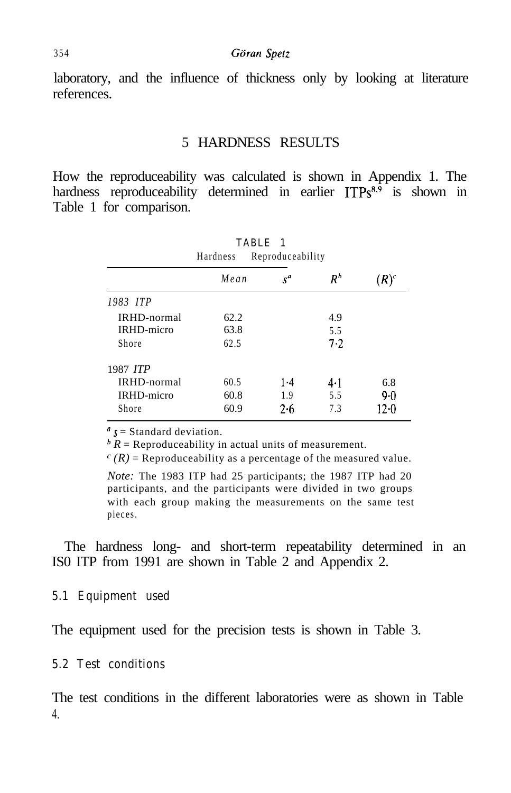laboratory, and the influence of thickness only by looking at literature references.

#### 5 HARDNESS RESULTS

How the reproduceability was calculated is shown in Appendix 1. The hardness reproduceability determined in earlier  $ITPs^{8,9}$  is shown in Table 1 for comparison.

| TABLE 1<br>Reproduceability<br>Hardness |      |       |             |         |  |
|-----------------------------------------|------|-------|-------------|---------|--|
|                                         | Mean | $s^a$ | $\pmb{R}^b$ | $(R)^c$ |  |
| 1983 ITP                                |      |       |             |         |  |
| <b>IRHD-normal</b>                      | 62.2 |       | 4.9         |         |  |
| <b>IRHD-micro</b>                       | 63.8 |       | 5.5         |         |  |
| Shore                                   | 62.5 |       | 7.2         |         |  |
| 1987 ITP                                |      |       |             |         |  |
| <b>IRHD-normal</b>                      | 60.5 | $1-4$ | $4 \cdot 1$ | 6.8     |  |
| <b>IRHD-micro</b>                       | 60.8 | 1.9   | 5.5         | 9.0     |  |
| Shore                                   | 60.9 | 2.6   | 7.3         | 12.0    |  |

 $s =$  Standard deviation.

 $\bar{R}$  = Reproduceability in actual units of measurement.

 $^{c}(R)$  = Reproduceability as a percentage of the measured value.

*Note:* The 1983 ITP had 25 participants; the 1987 ITP had 20 participants, and the participants were divided in two groups with each group making the measurements on the same test pieces.

The hardness long- and short-term repeatability determined in an IS0 ITP from 1991 are shown in Table 2 and Appendix 2.

#### **5.1 Equipment used**

The equipment used for the precision tests is shown in Table 3.

#### **5.2 Test conditions**

The test conditions in the different laboratories were as shown in Table 4.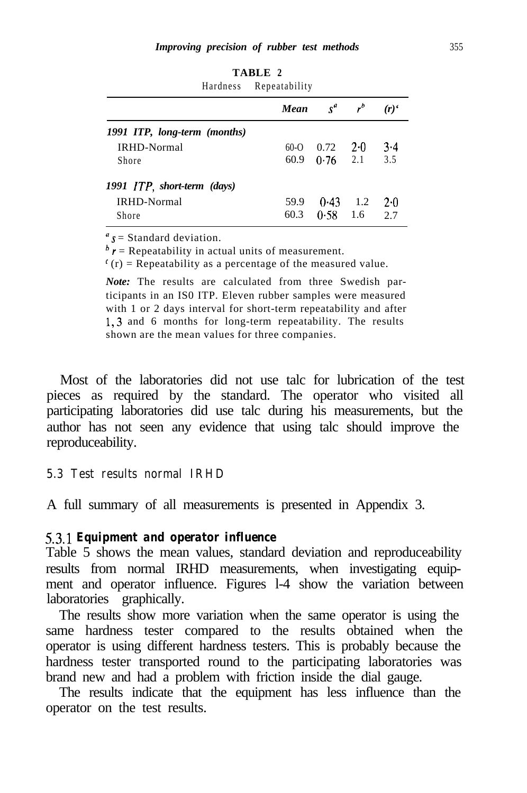|                              | Hardness | Repeatability |                             |         |           |
|------------------------------|----------|---------------|-----------------------------|---------|-----------|
|                              |          |               | <b>Mean</b> $s^a$ $r^b$     |         | $(r)^{c}$ |
| 1991 ITP, long-term (months) |          |               |                             |         |           |
| <b>IRHD-Normal</b>           |          | $60-0$        | 0.72                        | $2 - 0$ | $3-4$     |
| Shore                        |          |               | $60.9 \quad 0.76 \quad 2.1$ |         | 3.5       |
| 1991 ITP, short-term (days)  |          |               |                             |         |           |
| <b>IRHD-Normal</b>           |          | 59.9          | 0.43                        | 1.2     | 2.0       |
| Shore                        |          | 60.3          | 0.58                        | 1.6     | 2.7       |

**TABLE 2**

 $s =$  Standard deviation.

 $\mathbf{h}$  r = Repeatability in actual units of measurement.

 $f(r)$  = Repeatability as a percentage of the measured value.

*Note:* The results are calculated from three Swedish participants in an IS0 ITP. Eleven rubber samples were measured with 1 or 2 days interval for short-term repeatability and after 1,3 and 6 months for long-term repeatability. The results shown are the mean values for three companies.

Most of the laboratories did not use talc for lubrication of the test pieces as required by the standard. The operator who visited all participating laboratories did use talc during his measurements, but the author has not seen any evidence that using talc should improve the reproduceability.

#### **5.3 Test results normal IRHD**

A full summary of all measurements is presented in Appendix 3.

#### *53.1 Equipment and operator influence*

Table 5 shows the mean values, standard deviation and reproduceability results from normal IRHD measurements, when investigating equipment and operator influence. Figures l-4 show the variation between laboratories graphically.

The results show more variation when the same operator is using the same hardness tester compared to the results obtained when the operator is using different hardness testers. This is probably because the hardness tester transported round to the participating laboratories was brand new and had a problem with friction inside the dial gauge.

The results indicate that the equipment has less influence than the operator on the test results.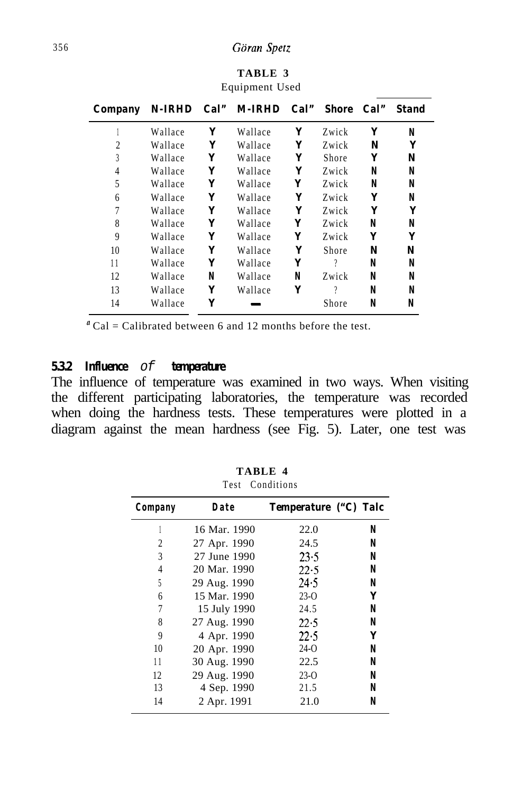### 356 *Giiran Spetz*

| Company       |         |   | N-IRHD Cal" M-IRHD Cal" Shore |   |       | Cal" | <b>Stand</b> |
|---------------|---------|---|-------------------------------|---|-------|------|--------------|
|               | Wallace | Y | Wallace                       | Y | Zwick | Y    | N            |
| 2             | Wallace | Y | Wallace                       | Y | Zwick | N    | Y            |
| $\mathcal{E}$ | Wallace | Y | Wallace                       | Y | Shore | Y    | N            |
| 4             | Wallace | Y | Wallace                       | Y | Zwick | N    | N            |
| 5             | Wallace | Y | Wallace                       | Y | Zwick | N    | N            |
| 6             | Wallace | Y | Wallace                       | Y | Zwick | Y    | N            |
| 7             | Wallace | Y | Wallace                       | Y | Zwick | Y    | Y            |
| 8             | Wallace | Y | Wallace                       | Y | Zwick | N    | N            |
| 9             | Wallace | Y | Wallace                       | Y | Zwick | Y    | Y            |
| 10            | Wallace | Y | Wallace                       | Y | Shore | N    | N            |
| 11            | Wallace | Y | Wallace                       | Y | 9     | N    | N            |
| 12            | Wallace | N | Wallace                       | N | Zwick | N    | N            |
| 13            | Wallace | Y | Wallace                       | Y | 9     | N    | N            |
| 14            | Wallace | Y |                               |   | Shore | N    | N            |

**TABLE 3** Equipment Used

 $^{\alpha}$ Cal = Calibrated between 6 and 12 months before the test.

#### *5.3.2 Influence of temperature*

The influence of temperature was examined in two ways. When visiting the different participating laboratories, the temperature was recorded when doing the hardness tests. These temperatures were plotted in a diagram against the mean hardness (see Fig. 5). Later, one test was

| 10.31<br><b>Conditions</b> |              |                       |   |  |  |
|----------------------------|--------------|-----------------------|---|--|--|
| Company                    | Date         | Temperature ("C) Talc |   |  |  |
|                            | 16 Mar. 1990 | 22.0                  | N |  |  |
| 2                          | 27 Apr. 1990 | 24.5                  | N |  |  |
| 3                          | 27 June 1990 | 23.5                  | N |  |  |
| 4                          | 20 Mar. 1990 | 22.5                  | N |  |  |
| 5                          | 29 Aug. 1990 | 24.5                  | N |  |  |
| 6                          | 15 Mar. 1990 | $23-0$                | Y |  |  |
| 7                          | 15 July 1990 | 24.5                  | N |  |  |
| 8                          | 27 Aug. 1990 | 22.5                  | N |  |  |
| 9                          | 4 Apr. 1990  | 22.5                  | Y |  |  |
| 10                         | 20 Apr. 1990 | $24-0$                | N |  |  |
| 11                         | 30 Aug. 1990 | 22.5                  | N |  |  |
| 12                         | 29 Aug. 1990 | $23-0$                | N |  |  |
| 13                         | 4 Sep. 1990  | 21.5                  | N |  |  |
| 14                         | 2 Apr. 1991  | 21.0                  | N |  |  |

**TABLE 4** Test Conditions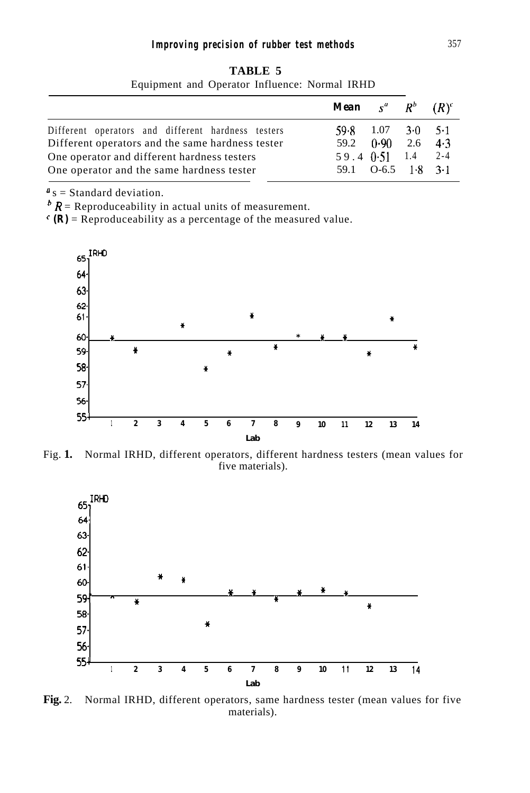| DT<br>ADL |  |
|-----------|--|
|-----------|--|

|                                                                                                        | <b>Mean</b> $s^a$ $R^b$ $(R)^c$            |  |  |
|--------------------------------------------------------------------------------------------------------|--------------------------------------------|--|--|
| Different operators and different hardness testers<br>Different operators and the same hardness tester | $59.8$ 1.07 3.0 5.1<br>59.2 $0.90$ 2.6 4.3 |  |  |
| One operator and different hardness testers                                                            | $59.4 \t 0.51 \t 1.4 \t 2.4$               |  |  |
| One operator and the same hardness tester                                                              | 59.1 $O-6.5$ 1.8 3.1                       |  |  |

Equipment and Operator Influence: Normal IRHD

 $\mathbf{u}_s$  = Standard deviation.

 $\mathbf{h}$  R = Reproduceability in actual units of measurement.

 $\epsilon$  (R) = Reproduceability as a percentage of the measured value.



Fig. **1.** Normal IRHD, different operators, different hardness testers (mean values for five materials).



**Fig.** 2. Normal IRHD, different operators, same hardness tester (mean values for five materials).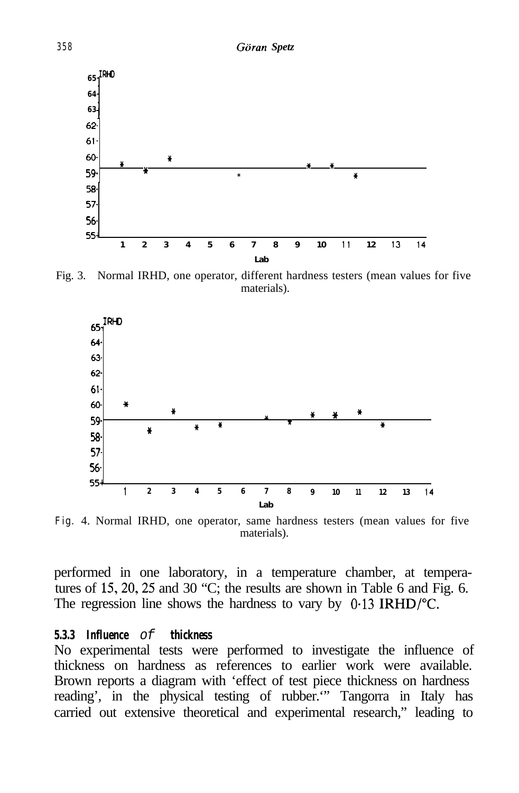

Fig. 3. Normal IRHD, one operator, different hardness testers (mean values for five materials).



**Fig.** 4. Normal IRHD, one operator, same hardness testers (mean values for five materials).

performed in one laboratory, in a temperature chamber, at temperatures of 15, 20, 25 and 30  $^{\circ}$ C; the results are shown in Table 6 and Fig. 6. The regression line shows the hardness to vary by 0.13 IRHD/°C.

#### *5.3.3 Influence of thickness*

No experimental tests were performed to investigate the influence of thickness on hardness as references to earlier work were available. Brown reports a diagram with 'effect of test piece thickness on hardness reading', in the physical testing of rubber.'" Tangorra in Italy has carried out extensive theoretical and experimental research," leading to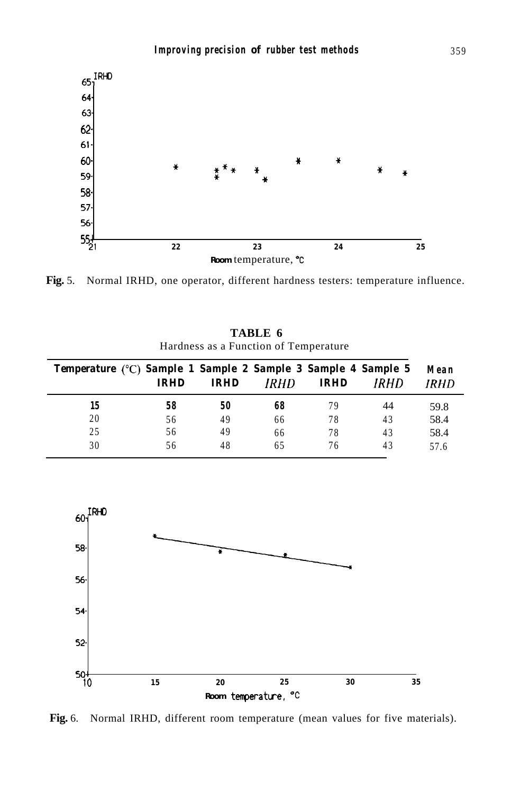

**Fig.** 5. Normal IRHD, one operator, different hardness testers: temperature influence.

**TABLE 6** Hardness as a Function of Temperature

| Temperature (°C) Sample 1 Sample 2 Sample 3 Sample 4 Sample 5 | <b>IRHD</b> | IRHD | IRHD | <b>IRHD</b> | IRHD | Mean<br>IRHD |
|---------------------------------------------------------------|-------------|------|------|-------------|------|--------------|
| 15                                                            | 58          | 50   | 68   | 79          | 44   | 59.8         |
| 20                                                            | 56          | 49   | 66   | 78          | 43   | 58.4         |
| 25                                                            | 56          | 49   | 66   | 78          | 43   | 58.4         |
| 30                                                            | 56          | 48   | 65   | 76          | 43   | 57.6         |



**Fig.** 6. Normal IRHD, different room temperature (mean values for five materials).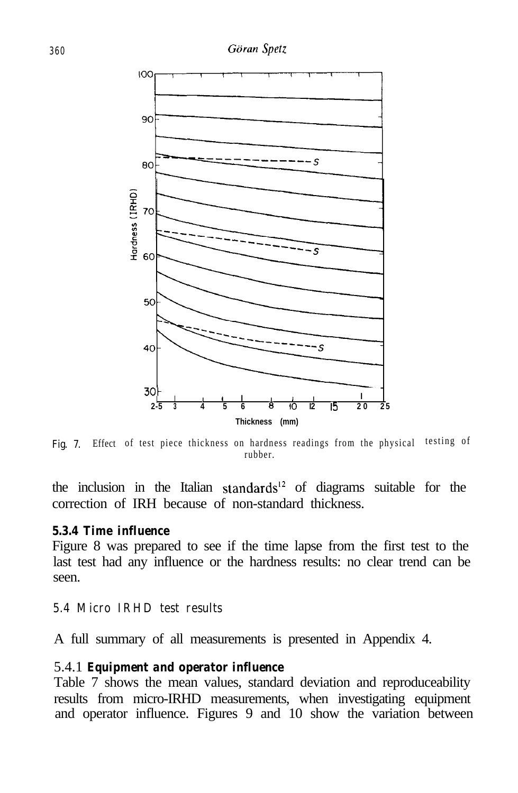

Fig. 7. Effect of test piece thickness on hardness readings from the physical testing of rubber.

the inclusion in the Italian standards<sup>12</sup> of diagrams suitable for the correction of IRH because of non-standard thickness.

#### *5.3.4 Time influence*

Figure 8 was prepared to see if the time lapse from the first test to the last test had any influence or the hardness results: no clear trend can be seen.

#### **5.4 Micro IRHD test results**

A full summary of all measurements is presented in Appendix 4.

#### 5.4.1 *Equipment and operator influence*

Table 7 shows the mean values, standard deviation and reproduceability results from micro-IRHD measurements, when investigating equipment and operator influence. Figures 9 and 10 show the variation between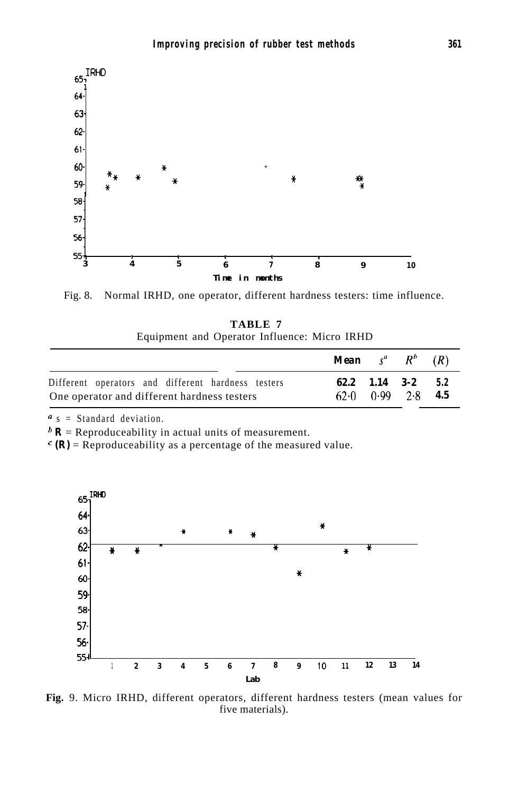

Fig. 8. Normal IRHD, one operator, different hardness testers: time influence.

|                                              | TABLE 7 |  |  |
|----------------------------------------------|---------|--|--|
| Equipment and Operator Influence: Micro IRHD |         |  |  |

|                                                                                                   | <b>Mean</b> $s^a$ $R^b$ $(R)$ |                                                        |  |
|---------------------------------------------------------------------------------------------------|-------------------------------|--------------------------------------------------------|--|
| Different operators and different hardness testers<br>One operator and different hardness testers |                               | $62.2$ $1.14$ $3-2$ $5.2$<br>$62-0$ $0.99$ $2-8$ $4.5$ |  |

 $a$  s = Standard deviation.

 $\mathbf{h}$  **R** = Reproduceability in actual units of measurement.

 $\epsilon$  (R) = Reproduceability as a percentage of the measured value.



**Fig.** 9. Micro IRHD, different operators, different hardness testers (mean values for five materials).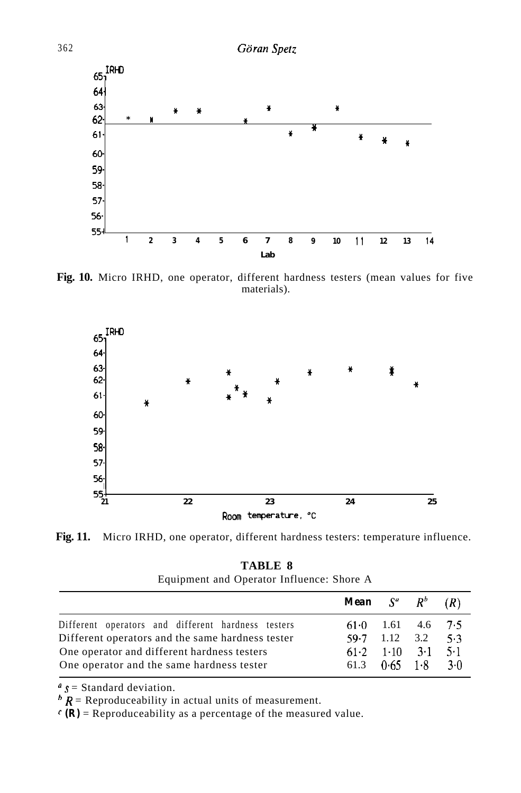

**Fig. 10.** Micro IRHD, one operator, different hardness testers (mean values for five materials).





| TABLE 8                                   |
|-------------------------------------------|
| Equipment and Operator Influence: Shore A |

|                                                    | <b>Mean</b> $S^a$ $R^b$ $(R)$         |  |  |
|----------------------------------------------------|---------------------------------------|--|--|
| Different operators and different hardness testers | $61 \cdot 0$ $1.61$ $4.6$ $7 \cdot 5$ |  |  |
| Different operators and the same hardness tester   | $59.7$ 1.12 3.2 5.3                   |  |  |
| One operator and different hardness testers        | $61.2$ $1.10$ $3.1$ $5.1$             |  |  |
| One operator and the same hardness tester          | 61.3 $0.65$ 1.8 3.0                   |  |  |

 $s =$  Standard deviation.

 $\mathbf{h}$  R = Reproduceability in actual units of measurement.

 $\mathcal{C}(\mathbf{R})$  = Reproduceability as a percentage of the measured value.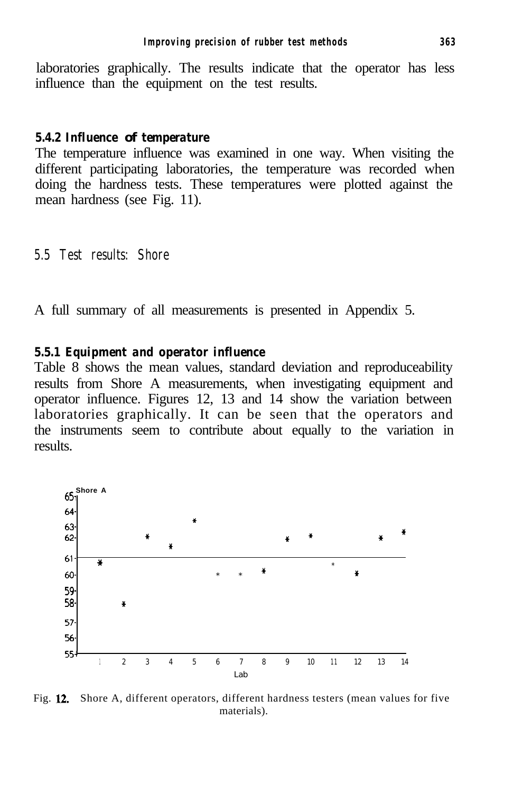laboratories graphically. The results indicate that the operator has less influence than the equipment on the test results.

#### *5.4.2 Influence of temperature*

The temperature influence was examined in one way. When visiting the different participating laboratories, the temperature was recorded when doing the hardness tests. These temperatures were plotted against the mean hardness (see Fig. 11).

#### **5.5 Test results: Shore**

A full summary of all measurements is presented in Appendix 5.

#### *5.5.1 Equipment and operator influence*

Table 8 shows the mean values, standard deviation and reproduceability results from Shore A measurements, when investigating equipment and operator influence. Figures 12, 13 and 14 show the variation between laboratories graphically. It can be seen that the operators and the instruments seem to contribute about equally to the variation in results.



Fig. 12. Shore A, different operators, different hardness testers (mean values for five materials).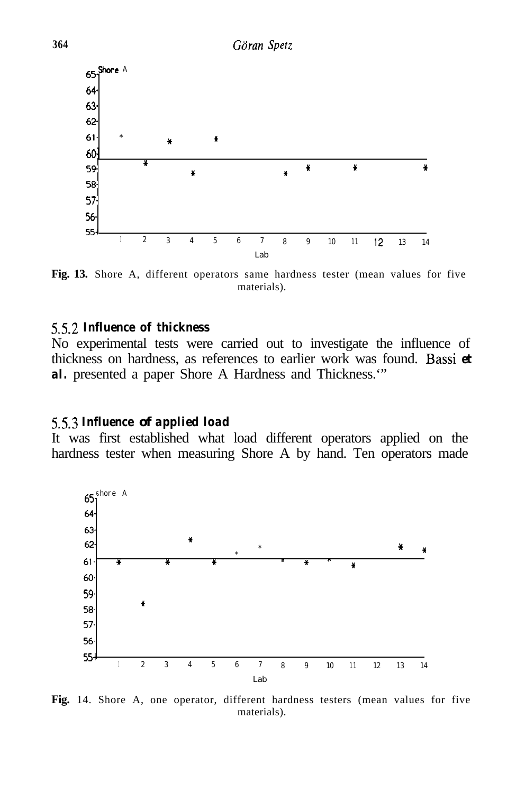

**Fig. 13.** Shore A, different operators same hardness tester (mean values for five materials).

#### *5.52 Influence of thickness*

No experimental tests were carried out to investigate the influence of thickness on hardness, as references to earlier work was found. Bassi *et* al. presented a paper Shore A Hardness and Thickness."

#### *5.5.3 Influence of applied load*

It was first established what load different operators applied on the hardness tester when measuring Shore A by hand. Ten operators made



**Fig.** 14. Shore A, one operator, different hardness testers (mean values for five materials).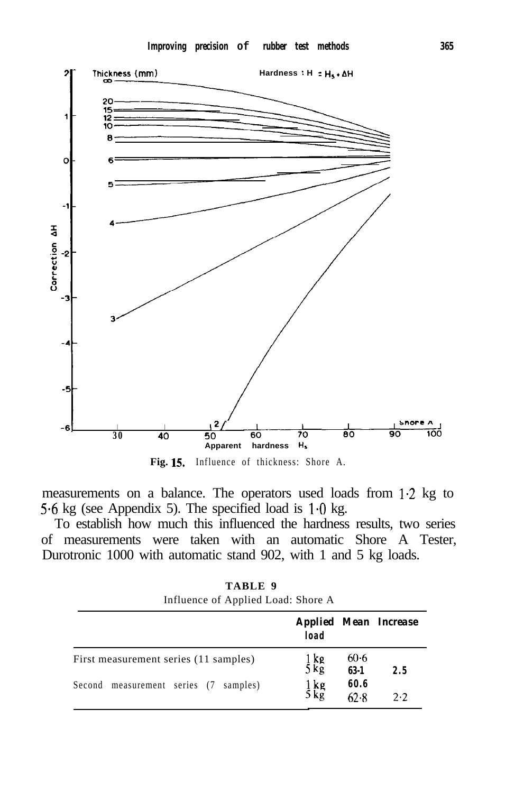

**Fig. 15.** Influence of thickness: Shore A.

measurements on a balance. The operators used loads from l-2 kg to 5.6 kg (see Appendix 5). The specified load is  $1.0 \text{ kg}$ .

To establish how much this influenced the hardness results, two series of measurements were taken with an automatic Shore A Tester, Durotronic 1000 with automatic stand 902, with 1 and 5 kg loads.

**TABLE 9** Influence of Applied Load: Shore A

|                                       | load             |                  | <b>Applied Mean Increase</b> |
|---------------------------------------|------------------|------------------|------------------------------|
| First measurement series (11 samples) | $\frac{1}{5}$ kg | $60-6$<br>$63-1$ | 2.5                          |
| Second measurement series (7 samples) | $\frac{1}{5}$ kg | 60.6<br>62.8     | 2.2                          |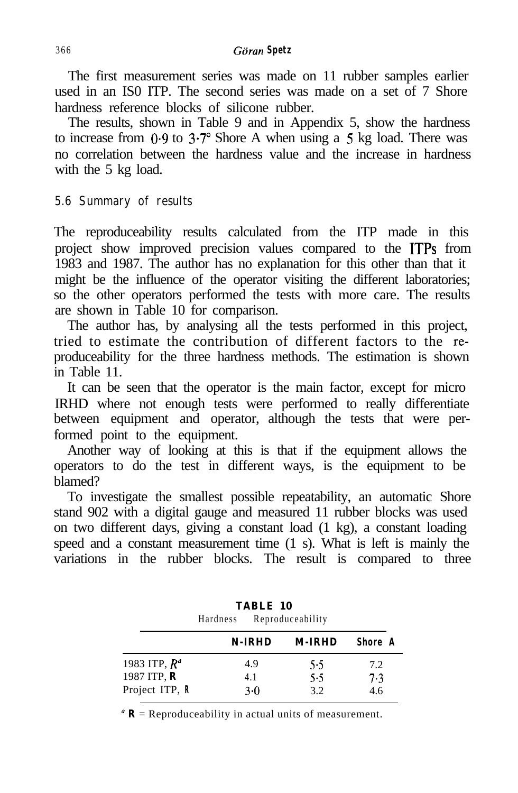The first measurement series was made on 11 rubber samples earlier used in an IS0 ITP. The second series was made on a set of 7 Shore hardness reference blocks of silicone rubber.

The results, shown in Table 9 and in Appendix 5, show the hardness to increase from  $0.9$  to  $3.7^{\circ}$  Shore A when using a 5 kg load. There was no correlation between the hardness value and the increase in hardness with the 5 kg load.

### **5.6 Summary of results**

The reproduceability results calculated from the ITP made in this project show improved precision values compared to the ITPs from 1983 and 1987. The author has no explanation for this other than that it might be the influence of the operator visiting the different laboratories; so the other operators performed the tests with more care. The results are shown in Table 10 for comparison.

The author has, by analysing all the tests performed in this project, tried to estimate the contribution of different factors to the reproduceability for the three hardness methods. The estimation is shown in Table 11.

It can be seen that the operator is the main factor, except for micro IRHD where not enough tests were performed to really differentiate between equipment and operator, although the tests that were performed point to the equipment.

Another way of looking at this is that if the equipment allows the operators to do the test in different ways, is the equipment to be blamed?

To investigate the smallest possible repeatability, an automatic Shore stand 902 with a digital gauge and measured 11 rubber blocks was used on two different days, giving a constant load (1 kg), a constant loading speed and a constant measurement time (1 s). What is left is mainly the variations in the rubber blocks. The result is compared to three

|                 | Hardness Reproduceability | TABLE 10 |        |                |  |
|-----------------|---------------------------|----------|--------|----------------|--|
|                 | N-IRHD                    |          | M-IRHD | <b>Shore</b> A |  |
| 1983 ITP, $R^a$ | 4.9                       |          | 5.5    | 7.2            |  |
| 1987 ITP, $R$   | 4.1                       |          | 5.5    | 7.3            |  |
| Project ITP, R  | $3-0$                     |          | 3.2    | 4.6            |  |

 $\mathbf{R} =$  Reproduceability in actual units of measurement.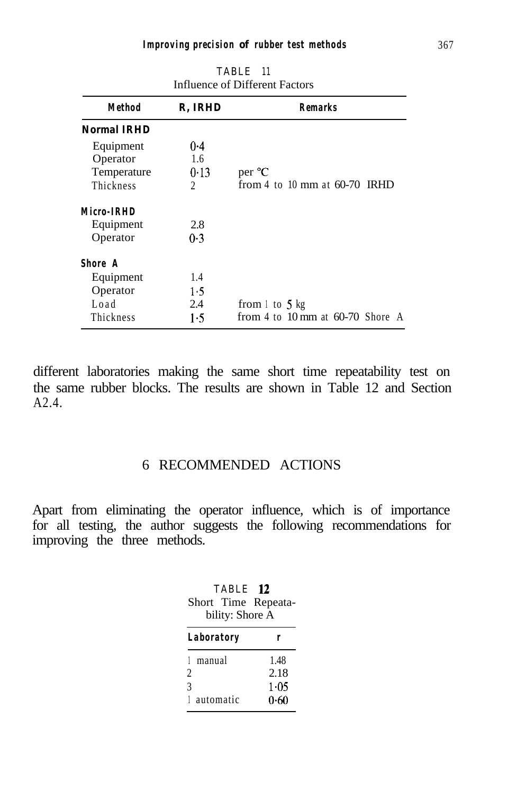| <b>Method</b>      | R. IRHD        | <b>Remarks</b>                     |
|--------------------|----------------|------------------------------------|
| <b>Normal IRHD</b> |                |                                    |
| Equipment          | 0.4            |                                    |
| Operator           | 1.6            |                                    |
| Temperature        | 0.13           | per <sup>o</sup> C                 |
| Thickness          | $\mathfrak{D}$ | from 4 to 10 mm at $60-70$ IRHD    |
| Micro-IRHD         |                |                                    |
| Equipment          | 2.8            |                                    |
| Operator           | 0.3            |                                    |
| <b>Shore</b> A     |                |                                    |
| Equipment          | 1.4            |                                    |
| Operator           | 1.5            |                                    |
| Load               | 2.4            | from $\perp$ to 5 kg               |
| Thickness          | 1.5            | from 4 to 10 mm at $60-70$ Shore A |

**TABLE 11** Influence of Different Factors

different laboratories making the same short time repeatability test on the same rubber blocks. The results are shown in Table 12 and Section A2.4.

# 6 RECOMMENDED ACTIONS

Apart from eliminating the operator influence, which is of importance for all testing, the author suggests the following recommendations for improving the three methods.

| TABLE 12<br>Short Time Repeata-<br>bility: Shore A |           |
|----------------------------------------------------|-----------|
| <b>Laboratory</b>                                  |           |
| manual                                             | 1.48      |
| 2                                                  | 2.18      |
| $\mathcal{E}$                                      | $1 - 0.5$ |
| automatic                                          | 0.60      |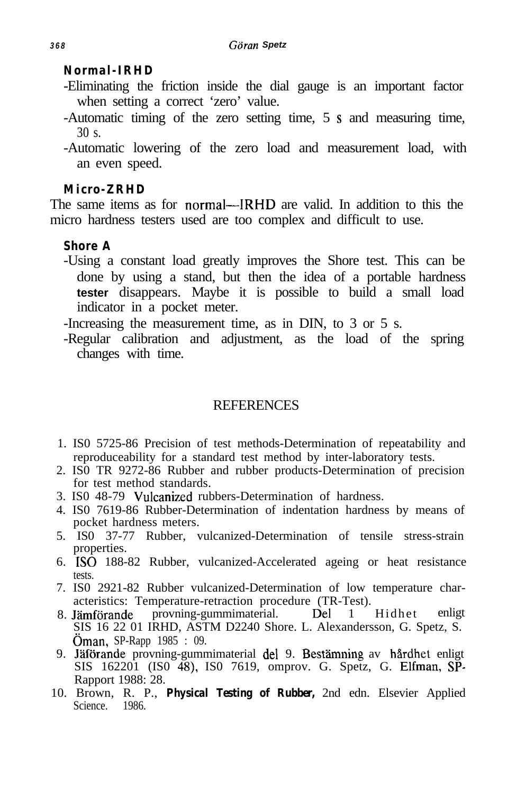### *Normal-IRHD*

- -Eliminating the friction inside the dial gauge is an important factor when setting a correct 'zero' value.
- -Automatic timing of the zero setting time, 5 s and measuring time, 30 s.
- -Automatic lowering of the zero load and measurement load, with an even speed.

### *Micro-ZRHD*

The same items as for normal—IRHD are valid. In addition to this the micro hardness testers used are too complex and difficult to use.

### *Shore A*

-Using a constant load greatly improves the Shore test. This can be done by using a stand, but then the idea of a portable hardness **tester** disappears. Maybe it is possible to build a small load indicator in a pocket meter.

-Increasing the measurement time, as in DIN, to 3 or 5 s.

-Regular calibration and adjustment, as the load of the spring changes with time.

# **REFERENCES**

- 1. IS0 5725-86 Precision of test methods-Determination of repeatability and reproduceability for a standard test method by inter-laboratory tests.
- 2. IS0 TR 9272-86 Rubber and rubber products-Determination of precision for test method standards.
- 3. IS0 48-79 Vulcanized rubbers-Determination of hardness.
- 4. IS0 7619-86 Rubber-Determination of indentation hardness by means of pocket hardness meters.
- 5. IS0 37-77 Rubber, vulcanized-Determination of tensile stress-strain properties.
- 6. IS0 188-82 Rubber, vulcanized-Accelerated ageing or heat resistance tests.
- 7. IS0 2921-82 Rubber vulcanized-Determination of low temperature characteristics: Temperature-retraction procedure (TR-Test).
- 8. Jämförande provning-gummimaterial. Del 1 Hidhet enligt SIS 16 22 01 IRHD, ASTM D2240 Shore. L. Alexandersson, G. Spetz, S. Oman, SP-Rapp 1985 : 09.
- 9. Jäförande provning-gummimaterial del 9. Bestämning av hårdhet enligt SIS 162201 (IS0 48), IS0 7619, omprov. G. Spetz, G. Elfman, SP-Rapport 1988: 28.
- 10. Brown, R. P., *Physical Testing of Rubber,* 2nd edn. Elsevier Applied Science. 1986.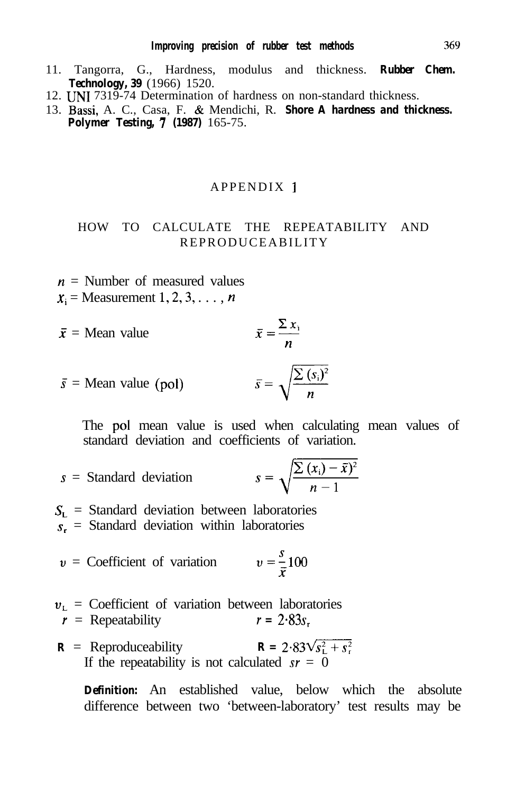- 11. Tangorra, G., Hardness, modulus and thickness. *Rubber Chem. Technology, 39* (1966) 1520.
- 12. UN1 7319-74 Determination of hardness on non-standard thickness.
- 13. Bassi, A. C., Casa, F. & Mendichi, R. *Shore A hardness and thickness. Polymer Testing, 7 (1987)* 165-75.

#### APPENDIX I

### HOW TO CALCULATE THE REPEATABILITY AND REPRODUCEABILITY

 $n =$  Number of measured values  $x_i$  = Measurement 1, 2, 3, ..., n

$$
\bar{x}
$$
 = Mean value  $\bar{x} = \frac{\sum x_i}{n}$ 

$$
\bar{s}
$$
 = Mean value (pol)  $\bar{s} = \sqrt{\frac{\sum (s_i)^2}{n}}$ 

The pol mean value is used when calculating mean values of standard deviation and coefficients of variation.

$$
s =
$$
 Standard deviation  $s = \sqrt{\frac{\sum (x_i) - \bar{x}}{n-1}}$ 

 $S_{L}$  = Standard deviation between laboratories  $s_r$  = Standard deviation within laboratories

$$
v =
$$
 Coefficient of variation  $v = \frac{s}{\bar{x}} 100$ 

- $v_L$  = Coefficient of variation between laboratories<br>  $r =$ Repeatability  $r = 2.83s$ .  $r =$  Repeatability
- $\mathbf{R} = 2.83\sqrt{s_L^2 + s_L^2}$ If the repeatability is not calculated  $sr = 0$

*Definition:* An established value, below which the absolute difference between two 'between-laboratory' test results may be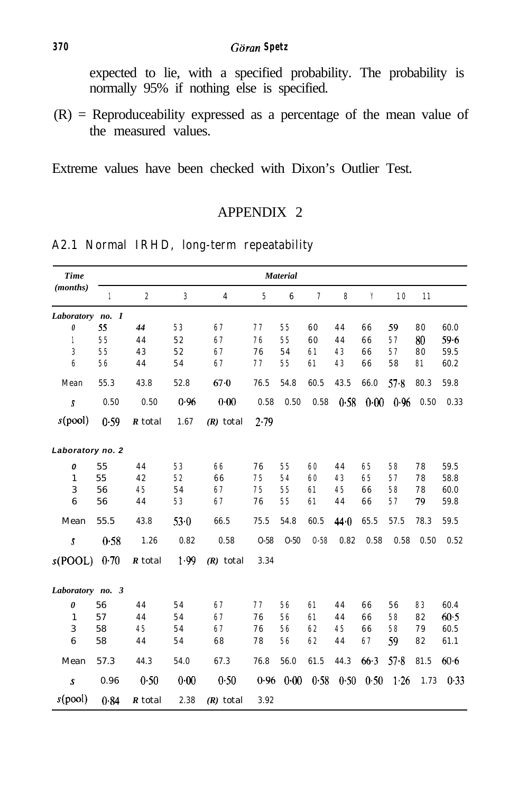expected to lie, with a specified probability. The probability is normally 95% if nothing else is specified.

 $(R)$  = Reproduceability expressed as a percentage of the mean value of the measured values.

Extreme values have been checked with Dixon's Outlier Test.

# APPENDIX 2

| <b>Time</b>      | <b>Material</b> |                  |                  |                |                 |          |                |      |      |      |      |          |
|------------------|-----------------|------------------|------------------|----------------|-----------------|----------|----------------|------|------|------|------|----------|
| (months)         | $\mathbf{1}$    | $\boldsymbol{2}$ | $\boldsymbol{3}$ | $\overline{4}$ | $5\phantom{.0}$ | 6        | $\overline{7}$ | 8    | Y    | 10   | 11   |          |
| Laboratory no. I |                 |                  |                  |                |                 |          |                |      |      |      |      |          |
| 0                | 55              | 44               | 53               | 67             | 77              | 55       | 60             | 44   | 66   | 59   | 80   | 60.0     |
| 1                | 55              | 44               | 52               | 67             | 76              | 55       | 60             | 44   | 66   | 57   | 80   | 59.6     |
| 3                | 55              | 43               | 52               | 67             | 76              | 54       | 61             | 43   | 66   | 57   | 80   | 59.5     |
| $6\phantom{a}$   | 56              | 44               | 54               | 67             | 77              | 55       | 61             | 43   | 66   | 58   | 81   | 60.2     |
| Mean             | 55.3            | 43.8             | 52.8             | $67 - 0$       | 76.5            | 54.8     | 60.5           | 43.5 | 66.0 | 57.8 | 80.3 | 59.8     |
| $\mathbf{s}$     | 0.50            | 0.50             | 0.96             | 0.00           | 0.58            | 0.50     | 0.58           | 0.58 | 0.00 | 0.96 | 0.50 | 0.33     |
| s(pool)          | 0.59            | R total          | 1.67             | $(R)$ total    | 2.79            |          |                |      |      |      |      |          |
| Laboratory no. 2 |                 |                  |                  |                |                 |          |                |      |      |      |      |          |
| 0                | 55              | 44               | 53               | 66             | 76              | 55       | 60             | 44   | 65   | 58   | 78   | 59.5     |
| $\mathbf{1}$     | 55              | 42               | 52               | 66             | 75              | 54       | 60             | 43   | 65   | 57   | 78   | 58.8     |
| 3                | 56              | 45               | 54               | 67             | 75              | 55       | 61             | 45   | 66   | 58   | 78   | 60.0     |
| 6                | 56              | 44               | 53               | 67             | 76              | 55       | 61             | 44   | 66   | 57   | 79   | 59.8     |
| Mean             | 55.5            | 43.8             | $53-0$           | 66.5           | 75.5            | 54.8     | 60.5           | 44.0 | 65.5 | 57.5 | 78.3 | 59.5     |
| s                | 0.58            | 1.26             | 0.82             | 0.58           | $O-58$          | $O-50$   | $0 - 58$       | 0.82 | 0.58 | 0.58 | 0.50 | 0.52     |
| s(POOL)          | 0.70            | R total          | 1.99             | $(R)$ total    | 3.34            |          |                |      |      |      |      |          |
| Laboratory no. 3 |                 |                  |                  |                |                 |          |                |      |      |      |      |          |
| 0                | 56              | 44               | 54               | 67             | 77              | 56       | 61             | 44   | 66   | 56   | 83   | 60.4     |
| 1                | 57              | 44               | 54               | 67             | 76              | 56       | 61             | 44   | 66   | 58   | 82   | $60-5$   |
| 3                | 58              | 45               | 54               | 67             | 76              | 56       | 62             | 45   | 66   | 58   | 79   | 60.5     |
| 6                | 58              | 44               | 54               | 68             | 78              | 56       | 62             | 44   | 67   | 59   | 82   | 61.1     |
| Mean             | 57.3            | 44.3             | 54.0             | 67.3           | 76.8            | 56.0     | 61.5           | 44.3 | 66.3 | 578  | 81.5 | $60 - 6$ |
| s                | 0.96            | 0.50             | 0.00             | 0.50           | 0.96            | $0 - 00$ | 0.58           | 0.50 | 0.50 | 1.26 | 1.73 | 0.33     |
| s(pool)          | 0.84            | R total          | 2.38             | $(R)$ total    | 3.92            |          |                |      |      |      |      |          |

# **A2.1 Normal IRHD, long-term repeatability**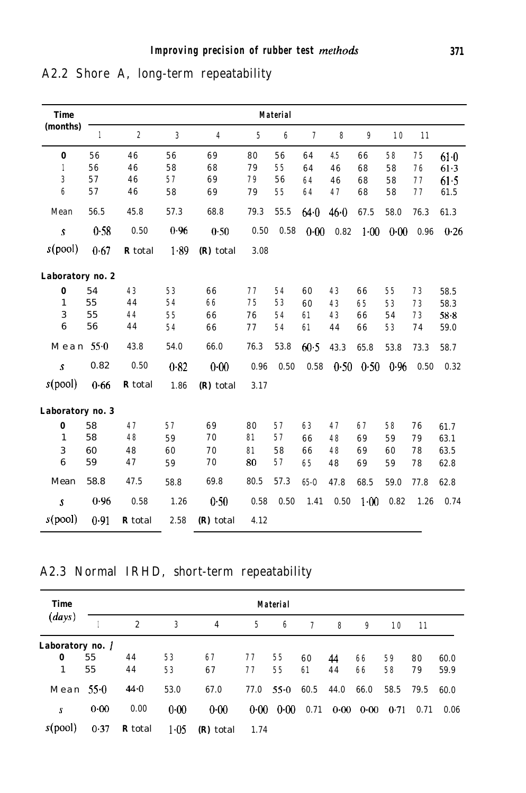| <b>Time</b>      | <b>Material</b> |                  |              |             |       |                 |                |      |          |      |      |          |
|------------------|-----------------|------------------|--------------|-------------|-------|-----------------|----------------|------|----------|------|------|----------|
| (months)         | 1               | $\boldsymbol{2}$ | $\mathbf{3}$ | 4           | $5\,$ | $6\phantom{.0}$ | $\overline{7}$ | 8    | 9        | 10   | 11   |          |
| 0                | 56              | 46               | 56           | 69          | 80    | 56              | 64             | 4.5  | 66       | 58   | 75   | $61-0$   |
| 1                | 56              | 46               | 58           | 68          | 79    | 55              | 64             | 46   | 68       | 58   | 76   | 61.3     |
| 3                | 57              | 46               | 57           | 69          | 79    | 56              | 64             | 46   | 68       | 58   | 77   | 61.5     |
| 6                | 57              | 46               | 58           | 69          | 79    | 55              | 64             | 47   | 68       | 58   | 77   | 61.5     |
| Mean             | 56.5            | 45.8             | 57.3         | 68.8        | 79.3  | 55.5            | 64.0           | 46.0 | 67.5     | 58.0 | 76.3 | 61.3     |
| $\mathbf{s}$     | 0.58            | $0.50\,$         | 0.96         | 0.50        | 0.50  | 0.58            | 0.00           | 0.82 | $1 - 00$ | 0.00 | 0.96 | 0.26     |
| s(pool)          | 0.67            | <b>R</b> total   | 1.89         | (R) total   | 3.08  |                 |                |      |          |      |      |          |
| Laboratory no. 2 |                 |                  |              |             |       |                 |                |      |          |      |      |          |
| 0                | 54              | 43               | 53           | 66          | 77    | 54              | 60             | 43   | 66       | 55   | 73   | 58.5     |
| $\mathbf{1}$     | 55              | 44               | 54           | 66          | 75    | 53              | 60             | 43   | 65       | 53   | 73   | 58.3     |
| 3                | 55              | 44               | 55           | 66          | 76    | 54              | 61             | 43   | 66       | 54   | 73   | $58 - 8$ |
| 6                | 56              | 44               | 54           | 66          | 77    | 54              | 61             | 44   | 66       | 53   | 74   | 59.0     |
| Mean             | 55.0            | 43.8             | 54.0         | 66.0        | 76.3  | 53.8            | 60.5           | 43.3 | 65.8     | 53.8 | 73.3 | 58.7     |
| $\mathcal{S}$    | 0.82            | 0.50             | 0.82         | 0.00        | 0.96  | 0.50            | 0.58           | 0.50 | 0.50     | 0.96 | 0.50 | 0.32     |
| s(pool)          | 0.66            | <b>R</b> total   | 1.86         | $(R)$ total | 3.17  |                 |                |      |          |      |      |          |
| Laboratory no. 3 |                 |                  |              |             |       |                 |                |      |          |      |      |          |
| 0                | 58              | 47               | 57           | 69          | 80    | 57              | 63             | 47   | 67       | 58   | 76   | 61.7     |
| $\mathbf{1}$     | 58              | 48               | 59           | 70          | 81    | 57              | 66             | 48   | 69       | 59   | 79   | 63.1     |
| 3                | 60              | 48               | 60           | 70          | 81    | 58              | 66             | 48   | 69       | 60   | 78   | 63.5     |
| 6                | 59              | 47               | 59           | 70          | 80    | 57              | 65             | 48   | 69       | 59   | 78   | 62.8     |
| Mean             | 58.8            | 47.5             | 58.8         | 69.8        | 80.5  | 57.3            | $65 - 0$       | 47.8 | 68.5     | 59.0 | 77.8 | 62.8     |
| s                | 0.96            | 0.58             | 1.26         | 0.50        | 0.58  | 0.50            | 1.41           | 0.50 | 1.00     | 0.82 | 1.26 | 0.74     |
| s(pool)          | 0.91            | <b>R</b> total   | 2.58         | (R) total   | 4.12  |                 |                |      |          |      |      |          |

**A2.2 Shore A, long-term repeatability**

# **A2.3 Normal IRHD, short-term repeatability**

| <b>Time</b><br>(days) |          | <b>Material</b> |        |           |      |        |      |      |      |      |      |      |
|-----------------------|----------|-----------------|--------|-----------|------|--------|------|------|------|------|------|------|
|                       |          | $\overline{c}$  | 3      | 4         | 5    | 6      | 7    | 8    | 9    | 10   | 11   |      |
| Laboratory no.        |          |                 |        |           |      |        |      |      |      |      |      |      |
| 0                     | 55       | 44              | 53     | 67        | 77   | 55     | 60   | 44   | 66   | 59   | 80   | 60.0 |
| 1                     | 55       | 44              | 53     | 67        | 77   | 55     | 61   | 44   | 66   | 58   | 79   | 59.9 |
| Mean $550$            |          | 44.0            | 53.0   | 67.0      | 77.0 | $55-0$ | 60.5 | 44.0 | 66.0 | 58.5 | 79.5 | 60.0 |
| S                     | $0 - 00$ | 0.00            | 0.00   | $0 - 00$  | 0.00 | 0.00   | 0.71 | 0.00 | 0.00 | 0.71 | 0.71 | 0.06 |
| s(pool)               | 0.37     | <b>R</b> total  | $1-05$ | (R) total | 1.74 |        |      |      |      |      |      |      |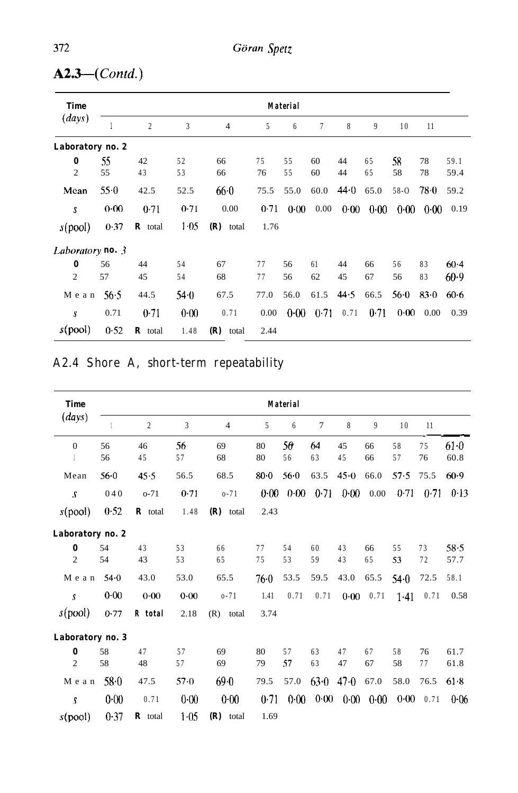| <b>Time</b>         | <b>Material</b> |                        |          |                |          |          |          |          |          |          |          |                |
|---------------------|-----------------|------------------------|----------|----------------|----------|----------|----------|----------|----------|----------|----------|----------------|
| (days)              |                 | $\overline{c}$         | 3        | $\overline{4}$ | 5        | 6        | 7        | 8        | 9        | 10       | 11       |                |
| Laboratory no. 2    |                 |                        |          |                |          |          |          |          |          |          |          |                |
| 0<br>$\overline{2}$ | 55<br>55        | 42<br>43               | 52<br>53 | 66<br>66       | 75<br>76 | 55<br>55 | 60<br>60 | 44<br>44 | 65<br>65 | 58<br>58 | 78<br>78 | 59.1<br>59.4   |
| Mean                | 550             | 42.5                   | 52.5     | 66.0           | 75.5     | 55.0     | 60.0     | 44.0     | 65.0     | $58 - 0$ | $78 - 0$ | 59.2           |
| S                   | 0.00            | 0.71                   | 0.71     | 0.00           | 0.71     | 0.00     | 0.00     | 0.00     | 0.00     | 0.00     | 0.00     | 0.19           |
| s(pool)             | 0.37            | $\boldsymbol{R}$ total | $1 - 05$ | $(R)$ total    | 1.76     |          |          |          |          |          |          |                |
| Laboratory no. 3    |                 |                        |          |                |          |          |          |          |          |          |          |                |
| 0<br>$\overline{2}$ | 56<br>57        | 44<br>45               | 54<br>54 | 67<br>68       | 77<br>77 | 56<br>56 | 61<br>62 | 44<br>45 | 66<br>67 | 56<br>56 | 83<br>83 | $60-4$<br>60.9 |
| Mean                | 56.5            | 44.5                   | 540      | 67.5           | 77.0     | 56.0     | 61.5     | 44.5     | 66.5     | $56-0$   | $83 - 0$ | $60 - 6$       |
| S                   | 0.71            | 0.71                   | $0 - 00$ | 0.71           | 0.00     | $0 - 00$ | 0.71     | 0.71     | 0.71     | 0.00     | 0.00     | 0.39           |
| s(pool)             | 0.52            | $\mathbf R$ total      | 1.48     | $(R)$ total    | 2.44     |          |          |          |          |          |          |                |

# *A2.3-(Contd.)*

# **A2.4 Shore A, short-term repeatability**

| <b>Time</b>      | <b>Material</b> |                   |                |                |          |          |                |          |          |          |          |                |
|------------------|-----------------|-------------------|----------------|----------------|----------|----------|----------------|----------|----------|----------|----------|----------------|
| (days)           |                 | $\overline{2}$    | $\overline{3}$ | $\overline{4}$ | 5        | 6        | $\overline{7}$ | 8        | 9        | 10       | 11       |                |
| $\mathbf{0}$     | 56<br>56        | 46<br>45          | 56<br>57       | 69<br>68       | 80<br>80 | 56<br>56 | 64<br>63       | 45<br>45 | 66<br>66 | 58<br>57 | 75<br>76 | $61-0$<br>60.8 |
| Mean             | $56 - 0$        | 45.5              | 56.5           | 68.5           | $80-0$   | $56 - 0$ | 63.5           | 45.0     | 66.0     | 57.5     | 75.5     | $60-9$         |
| s                | 040             | $O-71$            | 0.71           | $0 - 71$       | 0.00     | 0.00     | 0.71           | $0 - 00$ | 0.00     | 0.71     | 0.71     | 0.13           |
| s(pool)          | 0.52            | $\mathbf R$ total | 1.48           | $(R)$ total    | 2.43     |          |                |          |          |          |          |                |
| Laboratory no. 2 |                 |                   |                |                |          |          |                |          |          |          |          |                |
| 0                | 54              | 43                | 53             | 66             | 77       | 54       | 60             | 43       | 66       | 55       | 73       | 58.5           |
| $\overline{2}$   | 54              | 43                | 53             | 65             | 75       | 53       | 59             | 43       | 65       | 53       | 72       | 57.7           |
| Mean             | 54.0            | 43.0              | 53.0           | 65.5           | 76.0     | 53.5     | 59.5           | 43.0     | 65.5     | 54.0     | 72.5     | 58.1           |
| S                | 0.00            | 0.00              | 0.00           | $0 - 71$       | 1.41     | 0.71     | 0.71           | 0.00     | 0.71     | $1-41$   | 0.71     | 0.58           |
| s(pool)          | 0.77            | R total           | 2.18           | (R)<br>total   | 3.74     |          |                |          |          |          |          |                |
| Laboratory no. 3 |                 |                   |                |                |          |          |                |          |          |          |          |                |
| 0                | 58              | 47                | 57             | 69             | 80       | 57       | 63             | 47       | 67       | 58       | 76       | 61.7           |
| $\overline{2}$   | 58              | 48                | 57             | 69             | 79       | 57       | 63             | 47       | 67       | 58       | 77       | 61.8           |
| Mean             | 58.0            | 47.5              | $57 - 0$       | 69.0           | 79.5     | 57.0     | 63.0           | 47.0     | 67.0     | 58.0     | 76.5     | 61.8           |
| S                | 0.00            | 0.71              | 0.00           | 0.00           | 0.71     | 0.00     | 0.00           | 0.00     | 0.00     | 0.00     | 0.71     | 0.06           |
| s(pool)          | 0.37            | $\mathbf R$ total | $1 - 05$       | $(R)$ total    | 1.69     |          |                |          |          |          |          |                |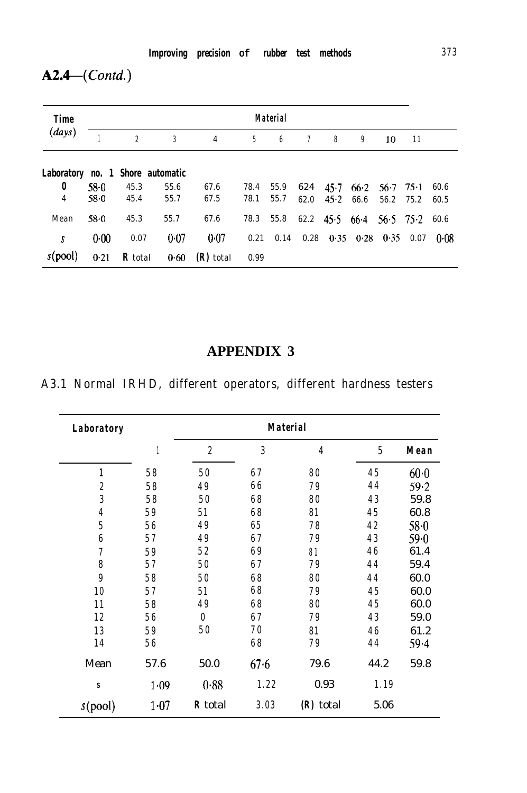# *A2.4-(Contd.)*

| <b>Time</b>                      | Material |                |      |                |      |      |        |      |                   |             |        |      |
|----------------------------------|----------|----------------|------|----------------|------|------|--------|------|-------------------|-------------|--------|------|
| (days)                           |          | $\overline{2}$ | 3    | $\overline{4}$ | 5    | 6    | $\tau$ | 8    | 9                 | 10          | 11     |      |
| Laboratory no. 1 Shore automatic |          |                |      |                |      |      |        |      |                   |             |        |      |
| 0                                | $58-0$   | 45.3           | 55.6 | 67.6           | 78.4 | 55.9 | 624    | 45.7 | 66.2              | 56.7        | $75-1$ | 60.6 |
| 4                                | 58.0     | 45.4           | 55.7 | 67.5           | 78.1 | 55.7 | 62.0   | 45.2 | 66.6              | 56.2        | 75.2   | 60.5 |
| Mean                             | $58 - 0$ | 45.3           | 55.7 | 67.6           | 78.3 | 55.8 | 62.2   | 45.5 | 66.4              | $56.5$ 75.2 |        | 60.6 |
| S                                | $0 - 00$ | 0.07           | 0.07 | 0.07           | 0.21 | 0.14 | 0.28   |      | $0.35 \quad 0.28$ | 0.35        | 0.07   | 0.08 |
| s(pool)                          | 0.21     | <b>R</b> total | 0.60 | $(R)$ total    | 0.99 |      |        |      |                   |             |        |      |

# **APPENDIX 3**

# **A3.1 Normal IRHD, different operators, different hardness testers**

| <b>Laboratory</b> |      |                |      | <b>Material</b> |                |          |
|-------------------|------|----------------|------|-----------------|----------------|----------|
|                   | 1    | $\overline{c}$ | 3    | 4               | $\overline{5}$ | Mean     |
| 1                 | 58   | 50             | 67   | 80              | 45             | $60 - 0$ |
| $\boldsymbol{2}$  | 58   | 49             | 66   | 79              | 44             | 59.2     |
| 3                 | 58   | 50             | 68   | 80              | 43             | 59.8     |
| 4                 | 59   | 51             | 68   | 81              | 45             | 60.8     |
| $\bf 5$           | 56   | 49             | 65   | 78              | 42             | $58-0$   |
| $\boldsymbol{6}$  | 57   | 49             | 67   | 79              | 43             | $59 - 0$ |
| 7                 | 59   | 52             | 69   | 81              | 46             | 61.4     |
| $\pmb{8}$         | 57   | 50             | 67   | 79              | 44             | 59.4     |
| 9                 | 58   | 50             | 68   | 80              | 44             | 60.0     |
| 10                | 57   | 51             | 68   | 79              | 45             | 60.0     |
| 11                | 58   | 49             | 68   | 80              | 45             | 60.0     |
| 12                | 56   | $\bf{0}$       | 67   | 79              | 43             | 59.0     |
| 13                | 59   | 50             | 70   | 81              | 46             | 61.2     |
| 14                | 56   |                | 68   | 79              | 44             | $59 - 4$ |
| Mean              | 57.6 | 50.0           | 67.6 | 79.6            | 44.2           | 59.8     |
| S                 | 1.09 | 0.88           | 1.22 | 0.93            | 1.19           |          |
| s(pool)           | 1.07 | <b>R</b> total | 3.03 | $(R)$ total     | 5.06           |          |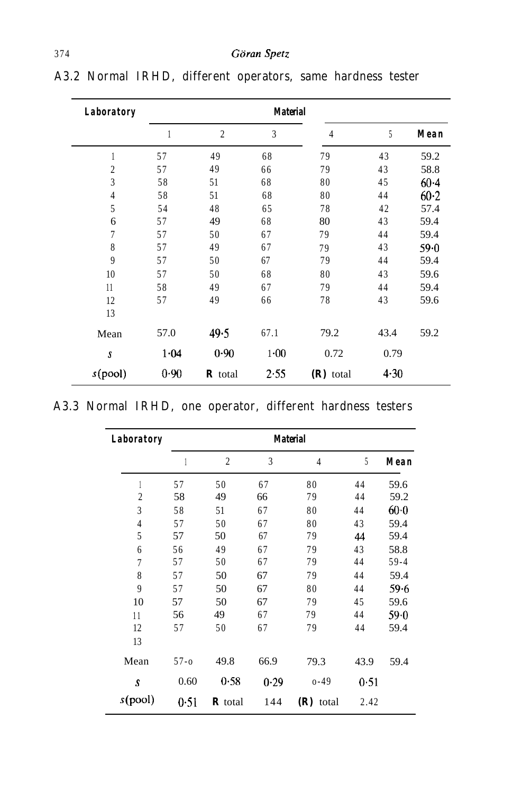| Laboratory       |      |                | <b>Material</b> |                |          |          |
|------------------|------|----------------|-----------------|----------------|----------|----------|
|                  | 1    | $\overline{2}$ | 3               | $\overline{4}$ | 5        | Mean     |
| 1                | 57   | 49             | 68              | 79             | 43       | 59.2     |
| $\overline{2}$   | 57   | 49             | 66              | 79             | 43       | 58.8     |
| 3                | 58   | 51             | 68              | 80             | 45       | $60 - 4$ |
| 4                | 58   | 51             | 68              | 80             | 44       | $60-2$   |
| 5                | 54   | 48             | 65              | 78             | 42       | 57.4     |
| 6                | 57   | 49             | 68              | 80             | 43       | 59.4     |
| 7                | 57   | 50             | 67              | 79             | 44       | 59.4     |
| 8                | 57   | 49             | 67              | 79             | 43       | $59 - 0$ |
| 9                | 57   | 50             | 67              | 79             | 44       | 59.4     |
| 10               | 57   | 50             | 68              | 80             | 43       | 59.6     |
| 11               | 58   | 49             | 67              | 79             | 44       | 59.4     |
| 12               | 57   | 49             | 66              | 78             | 43       | 59.6     |
| 13               |      |                |                 |                |          |          |
| Mean             | 57.0 | 49.5           | 67.1            | 79.2           | 43.4     | 59.2     |
| $\boldsymbol{s}$ | 1.04 | 0.90           | $1 - 00$        | 0.72           | 0.79     |          |
| s(pool)          | 0.90 | $\bm{R}$ total | 2.55            | $(R)$ total    | $4 - 30$ |          |

**A3.2 Normal IRHD, different operators, same hardness tester**

|  |  |  |  | A3.3 Normal IRHD, one operator, different hardness testers |  |  |  |
|--|--|--|--|------------------------------------------------------------|--|--|--|
|--|--|--|--|------------------------------------------------------------|--|--|--|

| Laboratory     |          |                |      | <b>Material</b> |      |          |
|----------------|----------|----------------|------|-----------------|------|----------|
|                | 1        | $\overline{2}$ | 3    | $\overline{4}$  | 5    | Mean     |
| 1              | 57       | 50             | 67   | 80              | 44   | 59.6     |
| $\overline{2}$ | 58       | 49             | 66   | 79              | 44   | 59.2     |
| 3              | 58       | 51             | 67   | 80              | 44   | $60-0$   |
| $\overline{4}$ | 57       | 50             | 67   | 80              | 43   | 59.4     |
| 5              | 57       | 50             | 67   | 79              | 44   | 59.4     |
| 6              | 56       | 49             | 67   | 79              | 43   | 58.8     |
| 7              | 57       | 50             | 67   | 79              | 44   | $59 - 4$ |
| 8              | 57       | 50             | 67   | 79              | 44   | 59.4     |
| 9              | 57       | 50             | 67   | 80              | 44   | 59.6     |
| 10             | 57       | 50             | 67   | 79              | 45   | 59.6     |
| 11             | 56       | 49             | 67   | 79              | 44   | 59.0     |
| 12             | 57       | 50             | 67   | 79              | 44   | 59.4     |
| 13             |          |                |      |                 |      |          |
| Mean           | $57 - 0$ | 49.8           | 66.9 | 79.3            | 43.9 | 59.4     |
| S              | 0.60     | 0.58           | 0.29 | $0 - 49$        | 0.51 |          |
| s(pool)        | 0.51     | $R$ total      | 144  | $(R)$ total     | 2.42 |          |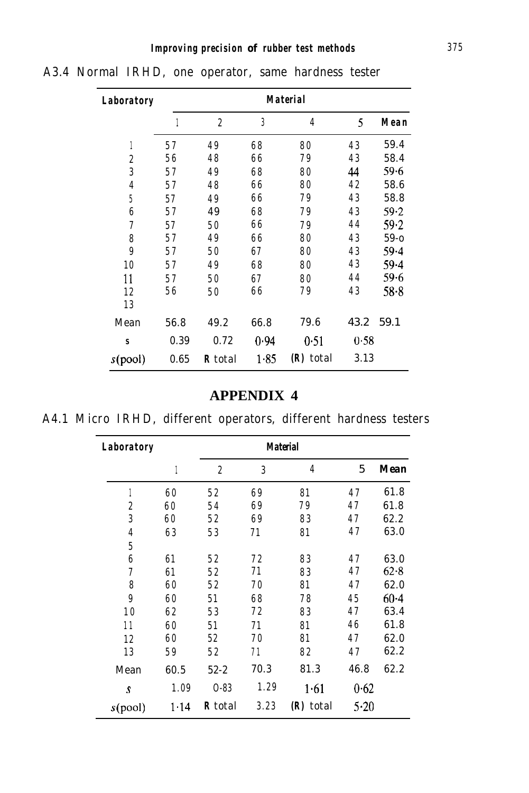| Laboratory       |      |                |      | <b>Material</b> |      |          |
|------------------|------|----------------|------|-----------------|------|----------|
|                  | 1    | $\overline{c}$ | 3    | $\overline{4}$  | 5    | Mean     |
| 1                | 57   | 49             | 68   | 80              | 43   | 59.4     |
| $\boldsymbol{2}$ | 56   | 48             | 66   | 79              | 43   | 58.4     |
| 3                | 57   | 49             | 68   | 80              | 44   | $59 - 6$ |
| $\overline{4}$   | 57   | 48             | 66   | 80              | 42   | 58.6     |
| 5                | 57   | 49             | 66   | 79              | 43   | 58.8     |
| $\boldsymbol{6}$ | 57   | 49             | 68   | 79              | 43   | $59 - 2$ |
| $\overline{7}$   | 57   | 50             | 66   | 79              | 44   | 59.2     |
| 8                | 57   | 49             | 66   | 80              | 43   | $59 - 0$ |
| 9                | 57   | 50             | 67   | 80              | 43   | $59 - 4$ |
| 10               | 57   | 49             | 68   | 80              | 43   | 59.4     |
| 11               | 57   | 50             | 67   | 80              | 44   | 59.6     |
| 12               | 56   | 50             | 66   | 79              | 43   | 58.8     |
| 13               |      |                |      |                 |      |          |
| Mean             | 56.8 | 49.2           | 66.8 | 79.6            | 43.2 | 59.1     |
| S                | 0.39 | 0.72           | 0.94 | 0.51            | 0.58 |          |
| s(pool)          | 0.65 | R total        | 1.85 | (R) total       | 3.13 |          |

**A3.4 Normal IRHD, one operator, same hardness tester**

### **APPENDIX 4**

|  |  | .                                                                |  |  |
|--|--|------------------------------------------------------------------|--|--|
|  |  | A4.1 Micro IRHD, different operators, different hardness testers |  |  |

| <b>Laboratory</b> |      |                |      | <b>Material</b> |      |          |
|-------------------|------|----------------|------|-----------------|------|----------|
|                   | 1    | $\overline{c}$ | 3    | 4               | 5    | Mean     |
|                   | 60   | 52             | 69   | 81              | 47   | 61.8     |
| $\overline{c}$    | 60   | 54             | 69   | 79              | 47   | 61.8     |
| 3                 | 60   | 52             | 69   | 83              | 47   | 62.2     |
| $\overline{4}$    | 63   | 53             | 71   | 81              | 47   | 63.0     |
| 5                 |      |                |      |                 |      |          |
| 6                 | 61   | 52             | 72   | 83              | 47   | 63.0     |
| 7                 | 61   | 52             | 71   | 83              | 47   | $62 - 8$ |
| 8                 | 60   | 52             | 70   | 81              | 47   | 62.0     |
| 9                 | 60   | 51             | 68   | 78              | 45   | $60 - 4$ |
| 1 <sub>0</sub>    | 62   | 53             | 72   | 83              | 47   | 63.4     |
| 11                | 60   | 51             | 71   | 81              | 46   | 61.8     |
| 12                | 60   | 52             | 70   | 81              | 47   | 62.0     |
| 13                | 59   | 52             | 71   | 82              | 47   | 62.2     |
| Mean              | 60.5 | $52 - 2$       | 70.3 | 81.3            | 46.8 | 62.2     |
| S                 | 1.09 | $0 - 83$       | 1.29 | 1.61            | 0.62 |          |
| s(pool)           | 1.14 | R total        | 3.23 | (R) total       | 5.20 |          |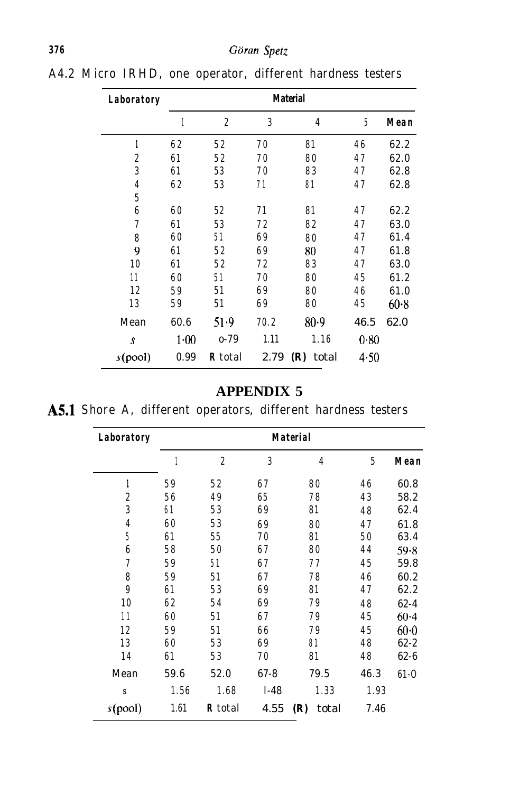| Laboratory       |        |                |      | <b>Material</b> |      |        |
|------------------|--------|----------------|------|-----------------|------|--------|
|                  | 1      | $\overline{c}$ | 3    | 4               | 5    | Mean   |
| 1                | 62     | 52             | 70   | 81              | 46   | 62.2   |
| $\boldsymbol{2}$ | 61     | 52             | 70   | 80              | 47   | 62.0   |
| 3                | 61     | 53             | 70   | 83              | 47   | 62.8   |
| $\overline{4}$   | 62     | 53             | 71   | 81              | 47   | 62.8   |
| 5                |        |                |      |                 |      |        |
| 6                | 60     | 52             | 71   | 81              | 47   | 62.2   |
| $\overline{7}$   | 61     | 53             | 72   | 82              | 47   | 63.0   |
| 8                | 60     | 51             | 69   | 80              | 47   | 61.4   |
| 9                | 61     | 52             | 69   | 80              | 47   | 61.8   |
| 10               | 61     | 52             | 72   | 83              | 47   | 63.0   |
| 11               | 60     | 51             | 70   | 80              | 45   | 61.2   |
| 12               | 59     | 51             | 69   | 80              | 46   | 61.0   |
| 13               | 59     | 51             | 69   | 80              | 45   | $60-8$ |
| Mean             | 60.6   | 51.9           | 70.2 | 80.9            | 46.5 | 62.0   |
| S                | $1-00$ | $0 - 79$       | 1.11 | 1.16            | 0.80 |        |
| s(pool)          | 0.99   | <b>R</b> total | 2.79 | (R)<br>total    | 4.50 |        |

**A4.2 Micro IRHD, one operator, different hardness testers**

# **APPENDIX 5**

|  |  |  |  | A5.1 Shore A, different operators, different hardness testers |  |  |  |
|--|--|--|--|---------------------------------------------------------------|--|--|--|
|--|--|--|--|---------------------------------------------------------------|--|--|--|

| <b>Laboratory</b> |      |                |          | <b>Material</b> |      |          |
|-------------------|------|----------------|----------|-----------------|------|----------|
|                   |      | $\overline{c}$ | 3        | $\overline{4}$  | 5    | Mean     |
| 1                 | 59   | 52             | 67       | 80              | 46   | 60.8     |
| $\boldsymbol{2}$  | 56   | 49             | 65       | 78              | 43   | 58.2     |
| 3                 | 61   | 53             | 69       | 81              | 48   | 62.4     |
| 4                 | 60   | 53             | 69       | 80              | 47   | 61.8     |
| 5                 | 61   | 55             | 70       | 81              | 50   | 63.4     |
| $\boldsymbol{6}$  | 58   | 50             | 67       | 80              | 44   | 59.8     |
| $\overline{7}$    | 59   | 51             | 67       | 77              | 45   | 59.8     |
| 8                 | 59   | 51             | 67       | 78              | 46   | 60.2     |
| $9\phantom{.0}$   | 61   | 53             | 69       | 81              | 47   | 62.2     |
| 10                | 62   | 54             | 69       | 79              | 48   | $62 - 4$ |
| 11                | 60   | 51             | 67       | 79              | 45   | $60-4$   |
| 12                | 59   | 51             | 66       | 79              | 45   | $60-0$   |
| 13                | 60   | 53             | 69       | 81              | 48   | $62 - 2$ |
| 14                | 61   | 53             | 70       | 81              | 48   | $62 - 6$ |
| Mean              | 59.6 | 52.0           | $67 - 8$ | 79.5            | 46.3 | $61 - 0$ |
| S                 | 1.56 | 1.68           | $1-48$   | 1.33            | 1.93 |          |
| s(pool)           | 1.61 | <b>R</b> total | 4.55     | (R)<br>total    | 7.46 |          |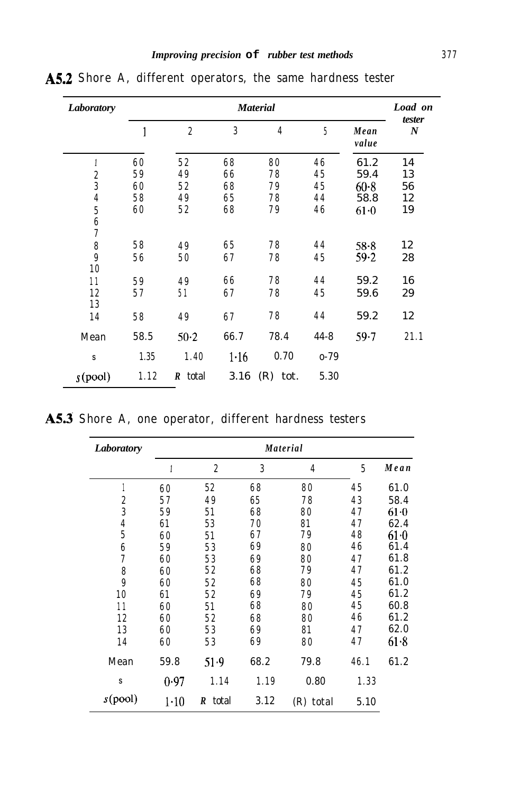| <b>Laboratory</b>       |      |                  |      | <b>Material</b> |          |               | Load on                    |
|-------------------------|------|------------------|------|-----------------|----------|---------------|----------------------------|
|                         |      | $\boldsymbol{2}$ | 3    | $\overline{4}$  | 5        | Mean<br>value | tester<br>$\boldsymbol{N}$ |
| 1                       | 60   | 52               | 68   | 80              | 46       | 61.2          | 14                         |
| $\boldsymbol{2}$        | 59   | 49               | 66   | 78              | 45       | 59.4          | 13                         |
| 3                       | 60   | 52               | 68   | 79              | 45       | $60 - 8$      | 56                         |
| $\overline{\mathbf{4}}$ | 58   | 49               | 65   | 78              | 44       | 58.8          | 12                         |
| $\overline{5}$          | 60   | 52               | 68   | 79              | 46       | $61-0$        | 19                         |
| $\frac{6}{7}$           |      |                  |      |                 |          |               |                            |
| $\pmb{8}$               | 58   | 49               | 65   | 78              | 44       | $58 - 8$      | 12                         |
| $\boldsymbol{9}$<br>10  | 56   | 50               | 67   | 78              | 45       | $59 - 2$      | 28                         |
| 11                      | 59   | 49               | 66   | 78              | 44       | 59.2          | 16                         |
| 12<br>13                | 57   | 51               | 67   | 78              | 45       | 59.6          | 29                         |
| 14                      | 58   | 49               | 67   | 78              | 44       | 59.2          | 12                         |
| Mean                    | 58.5 | $50-2$           | 66.7 | 78.4            | $44 - 8$ | $59 - 7$      | 21.1                       |
| s                       | 1.35 | 1.40             | 1.16 | 0.70            | $0 - 79$ |               |                            |
| $s$ (pool)              | 1.12 | R total          | 3.16 | $(R)$ tot.      | 5.30     |               |                            |

**A5.2 Shore A, different operators, the same hardness tester**

|  |  |  |  | A5.3 Shore A, one operator, different hardness testers |  |  |  |
|--|--|--|--|--------------------------------------------------------|--|--|--|
|--|--|--|--|--------------------------------------------------------|--|--|--|

| Laboratory       |        |                  |      | <b>Material</b> |      |        |
|------------------|--------|------------------|------|-----------------|------|--------|
|                  | 1      | $\boldsymbol{2}$ | 3    | $\overline{4}$  | 5    | Mean   |
|                  | 60     | 52               | 68   | 80              | 45   | 61.0   |
| $\boldsymbol{2}$ | 57     | 49               | 65   | 78              | 43   | 58.4   |
| $\overline{3}$   | 59     | 51               | 68   | 80              | 47   | $61-0$ |
| $\overline{4}$   | 61     | 53               | 70   | 81              | 47   | 62.4   |
| $\overline{5}$   | 60     | 51               | 67   | 79              | 48   | 61·0   |
| $\boldsymbol{6}$ | 59     | 53               | 69   | 80              | 46   | 61.4   |
| 7                | 60     | 53               | 69   | 80              | 47   | 61.8   |
| 8                | 60     | 52               | 68   | 79              | 47   | 61.2   |
| $\overline{9}$   | 60     | 52               | 68   | 80              | 45   | 61.0   |
| 10               | 61     | 52               | 69   | 79              | 45   | 61.2   |
| 11               | 60     | 51               | 68   | 80              | 45   | 60.8   |
| 12               | 60     | 52               | 68   | 80              | 46   | 61.2   |
| 13               | 60     | 53               | 69   | 81              | 47   | 62.0   |
| 14               | 60     | 53               | 69   | 80              | 47   | 61.8   |
| Mean             | 59.8   | 51.9             | 68.2 | 79.8            | 46.1 | 61.2   |
| s                | 0.97   | 1.14             | 1.19 | 0.80            | 1.33 |        |
| s(pool)          | $1-10$ | R total          | 3.12 | (R) total       | 5.10 |        |